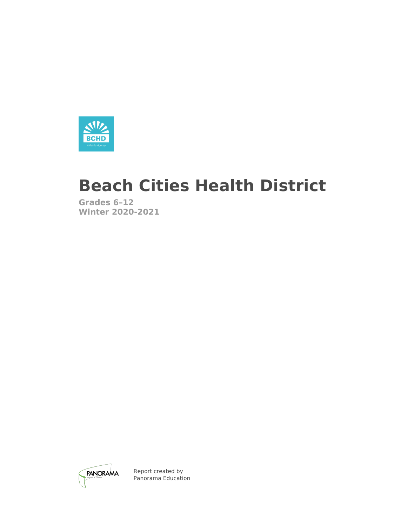

# **Beach Cities Health District**

**Grades 6–12 Winter 2020-2021**



Report created by Panorama Education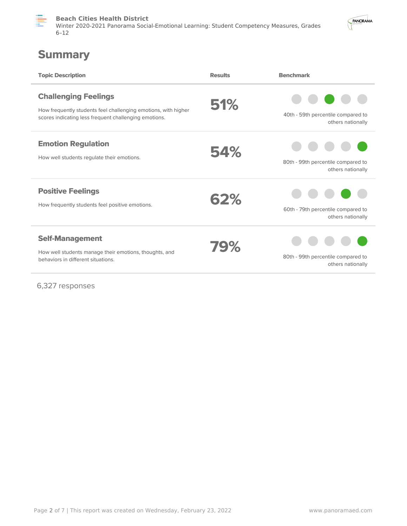

**Beach Cities Health District** Winter 2020-2021 Panorama Social-Emotional Learning: Student Competency Measures, Grades 6–12



## **Summary**

| <b>Topic Description</b>                                                                                                                               | <b>Results</b> | <b>Benchmark</b>                                        |
|--------------------------------------------------------------------------------------------------------------------------------------------------------|----------------|---------------------------------------------------------|
| <b>Challenging Feelings</b><br>How frequently students feel challenging emotions, with higher<br>scores indicating less frequent challenging emotions. | 51%            | 40th - 59th percentile compared to<br>others nationally |
| <b>Emotion Regulation</b><br>How well students regulate their emotions.                                                                                | 54%            | 80th - 99th percentile compared to<br>others nationally |
| <b>Positive Feelings</b><br>How frequently students feel positive emotions.                                                                            | 62%            | 60th - 79th percentile compared to<br>others nationally |
| <b>Self-Management</b><br>How well students manage their emotions, thoughts, and<br>behaviors in different situations.                                 | 79%            | 80th - 99th percentile compared to<br>others nationally |

6,327 responses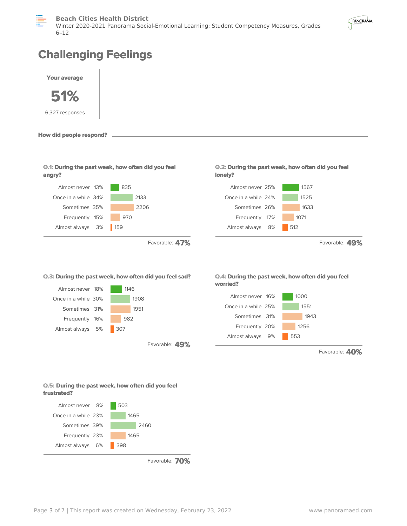



## **Challenging Feelings**



**How did people respond?**

| Q.1: During the past week, how often did you feel |  |  |  |  |
|---------------------------------------------------|--|--|--|--|
| angry?                                            |  |  |  |  |



Favorable: **47%**





Favorable: **49%**



**Q.2: During the past week, how often did you feel**

Almost never 25% 1567 Once in a while 24% 1525 Sometimes 26% 1633 Frequently 17% 1071 Almost always 8% 512

**lonely?**



Favorable: **40%**

Favorable: **49%**

#### **Q.5: During the past week, how often did you feel frustrated?**



Favorable: **70%**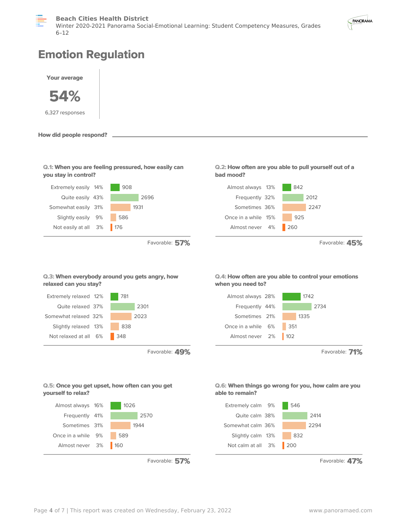



## **Emotion Regulation**



| Q.1: When you are feeling pressured, how easily can |  |  |
|-----------------------------------------------------|--|--|
| you stay in control?                                |  |  |



Favorable: **57%**





Favorable: **45%**

## **Q.3: When everybody around you gets angry, how relaxed can you stay?**



Favorable: **49%**

## **Q.4: How often are you able to control your emotions when you need to?**



Favorable: **71%**

### **Q.6: When things go wrong for you, how calm are you able to remain?**



Favorable: **47%**

### **Q.5: Once you get upset, how often can you get yourself to relax?**



Favorable: **57%**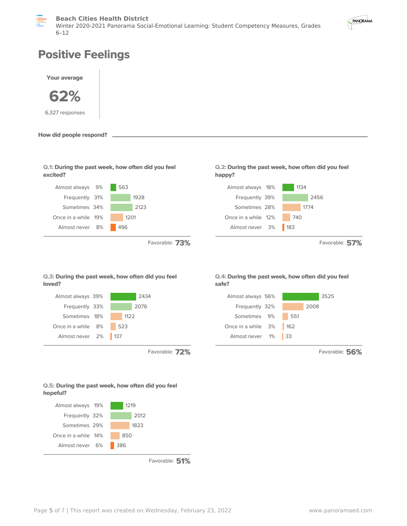



## **Positive Feelings**



**How did people respond?**

**Q.1: During the past week, how often did you feel excited?**



Favorable: **73%**

## **Q.3: During the past week, how often did you feel loved?**



Favorable: **72%**

## Sometimes 28% 1774 Once in a while 12% 740

Frequently 39% 2456

Almost always 18% 1134

Almost never 3% 183

**Q.2: During the past week, how often did you feel**

**happy?**

Favorable: **57%**

#### **Q.4: During the past week, how often did you feel safe?**



Favorable: **56%**

## **Q.5: During the past week, how often did you feel hopeful?**



Favorable: **51%**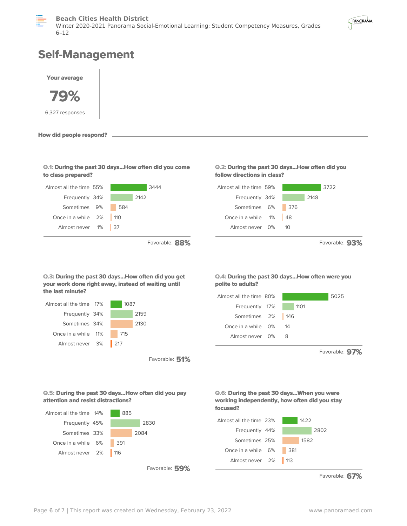



## **Self-Management**





Favorable: **51%**

Almost never 0% 8

Favorable: **97%**

**Q.5: During the past 30 days...How often did you pay attention and resist distractions?**



Favorable: **59%**





Favorable: **67%**